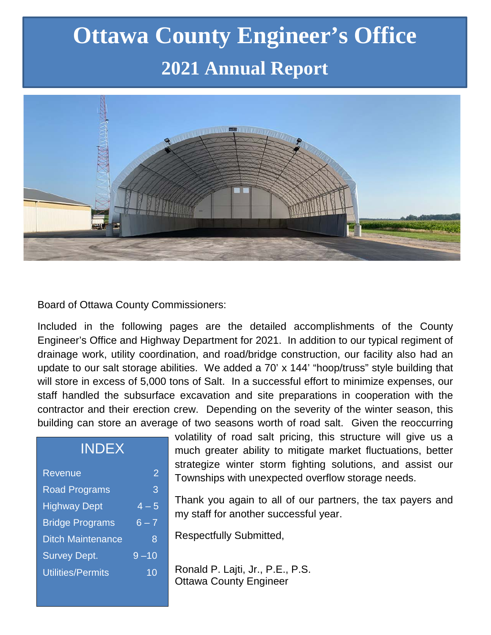# **Ottawa County Engineer's Office 2021 Annual Report**



Board of Ottawa County Commissioners:

Included in the following pages are the detailed accomplishments of the County Engineer's Office and Highway Department for 2021. In addition to our typical regiment of drainage work, utility coordination, and road/bridge construction, our facility also had an update to our salt storage abilities. We added a 70' x 144' "hoop/truss" style building that will store in excess of 5,000 tons of Salt. In a successful effort to minimize expenses, our staff handled the subsurface excavation and site preparations in cooperation with the contractor and their erection crew. Depending on the severity of the winter season, this building can store an average of two seasons worth of road salt. Given the reoccurring

| <b>INDEX</b>             |          |
|--------------------------|----------|
| Revenue                  | 2        |
| <b>Road Programs</b>     | 3        |
| <b>Highway Dept</b>      | $-4 - 5$ |
| <b>Bridge Programs</b>   | $6 - 7$  |
| <b>Ditch Maintenance</b> | 8        |
| <b>Survey Dept.</b>      | $9 - 10$ |
| Utilities/Permits        | 10       |
|                          |          |

volatility of road salt pricing, this structure will give us a much greater ability to mitigate market fluctuations, better strategize winter storm fighting solutions, and assist our Townships with unexpected overflow storage needs.

Thank you again to all of our partners, the tax payers and my staff for another successful year.

Respectfully Submitted,

Ronald P. Lajti, Jr., P.E., P.S. Ottawa County Engineer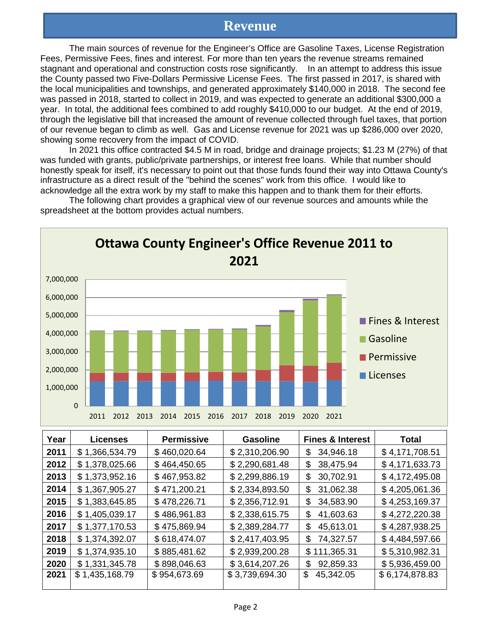#### **Revenue**

The main sources of revenue for the Engineer's Office are Gasoline Taxes, License Registration Fees, Permissive Fees, fines and interest. For more than ten years the revenue streams remained stagnant and operational and construction costs rose significantly. In an attempt to address this issue the County passed two Five-Dollars Permissive License Fees. The first passed in 2017, is shared with the local municipalities and townships, and generated approximately \$140,000 in 2018. The second fee was passed in 2018, started to collect in 2019, and was expected to generate an additional \$300,000 a year. In total, the additional fees combined to add roughly \$410,000 to our budget. At the end of 2019, through the legislative bill that increased the amount of revenue collected through fuel taxes, that portion of our revenue began to climb as well. Gas and License revenue for 2021 was up \$286,000 over 2020, showing some recovery from the impact of COVID.

In 2021 this office contracted \$4.5 M in road, bridge and drainage projects; \$1.23 M (27%) of that was funded with grants, public/private partnerships, or interest free loans. While that number should honestly speak for itself, it's necessary to point out that those funds found their way into Ottawa County's infrastructure as a direct result of the "behind the scenes" work from this office. I would like to acknowledge all the extra work by my staff to make this happen and to thank them for their efforts.

The following chart provides a graphical view of our revenue sources and amounts while the spreadsheet at the bottom provides actual numbers.



| Year | <b>Licenses</b> | <b>Permissive</b> | <b>Gasoline</b> | <b>Fines &amp; Interest</b> | <b>Total</b>   |
|------|-----------------|-------------------|-----------------|-----------------------------|----------------|
| 2011 | \$1,366,534.79  | \$460,020.64      | \$2,310,206.90  | 34,946.18<br>\$             | \$4,171,708.51 |
| 2012 | \$1,378,025.66  | \$464,450.65      | \$2,290,681.48  | 38,475.94<br>\$             | \$4,171,633.73 |
| 2013 | \$1,373,952.16  | \$467,953.82      | \$2,299,886.19  | 30,702.91<br>\$             | \$4,172,495.08 |
| 2014 | \$1,367,905.27  | \$471,200.21      | \$2,334,893.50  | 31,062.38<br>\$             | \$4,205,061.36 |
| 2015 | \$1,383,645.85  | \$478,226.71      | \$2,356,712.91  | 34,583.90<br>\$             | \$4,253,169.37 |
| 2016 | \$1,405,039.17  | \$486,961.83      | \$2,338,615.75  | 41,603.63<br>\$             | \$4,272,220.38 |
| 2017 | \$1,377,170.53  | \$475,869.94      | \$2,389,284.77  | \$<br>45,613.01             | \$4,287,938.25 |
| 2018 | \$1,374,392.07  | \$618,474.07      | \$2,417,403.95  | 74,327.57<br>\$             | \$4,484,597.66 |
| 2019 | \$1,374,935.10  | \$885,481.62      | \$2,939,200.28  | \$111,365.31                | \$5,310,982.31 |
| 2020 | \$1,331,345.78  | \$898,046.63      | \$3,614,207.26  | 92,859.33<br>\$             | \$5,936,459.00 |
| 2021 | \$1,435,168.79  | \$954,673.69      | \$3,739,694.30  | \$<br>45,342.05             | \$6,174,878.83 |
|      |                 |                   |                 |                             |                |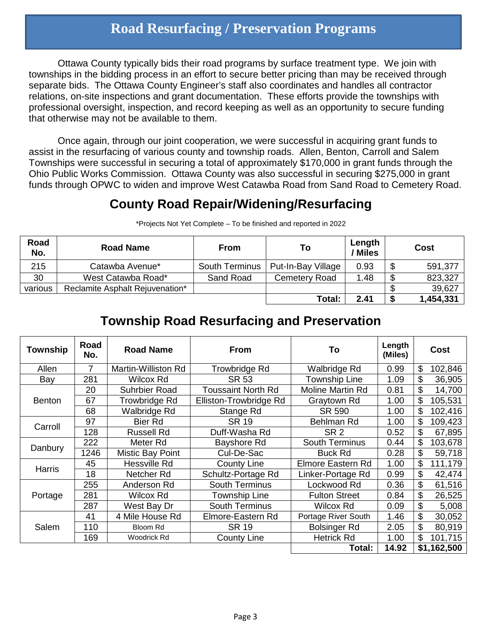### **Road Resurfacing / Preservation Programs**

Ottawa County typically bids their road programs by surface treatment type. We join with townships in the bidding process in an effort to secure better pricing than may be received through separate bids. The Ottawa County Engineer's staff also coordinates and handles all contractor relations, on-site inspections and grant documentation. These efforts provide the townships with professional oversight, inspection, and record keeping as well as an opportunity to secure funding that otherwise may not be available to them.

Once again, through our joint cooperation, we were successful in acquiring grant funds to assist in the resurfacing of various county and township roads. Allen, Benton, Carroll and Salem Townships were successful in securing a total of approximately \$170,000 in grant funds through the Ohio Public Works Commission. Ottawa County was also successful in securing \$275,000 in grant funds through OPWC to widen and improve West Catawba Road from Sand Road to Cemetery Road.

#### **County Road Repair/Widening/Resurfacing**

| Road<br>No. | <b>Road Name</b>                | <b>From</b>           | To                 | Length<br>/ Miles |    | Cost      |
|-------------|---------------------------------|-----------------------|--------------------|-------------------|----|-----------|
| 215         | Catawba Avenue*                 | <b>South Terminus</b> | Put-In-Bay Village | 0.93              | \$ | 591,377   |
| 30          | West Catawba Road*              | Sand Road             | Cemetery Road      | 1.48              | \$ | 823,327   |
| various     | Reclamite Asphalt Rejuvenation* |                       |                    |                   |    | 39,627    |
|             |                                 |                       | Total:             | 2.41              | S  | 1,454,331 |

\*Projects Not Yet Complete – To be finished and reported in 2022

#### **Township Road Resurfacing and Preservation**

| Township      | Road<br>No. | <b>Road Name</b>        | <b>From</b>               | To                    | Length<br>(Miles) | <b>Cost</b>   |
|---------------|-------------|-------------------------|---------------------------|-----------------------|-------------------|---------------|
| Allen         | 7           | Martin-Williston Rd     | Trowbridge Rd             | Walbridge Rd          | 0.99              | \$<br>102,846 |
| Bay           | 281         | Wilcox Rd               | <b>SR 53</b>              | <b>Township Line</b>  | 1.09              | \$<br>36,905  |
|               | 20          | <b>Suhrbier Road</b>    | <b>Toussaint North Rd</b> | Moline Martin Rd      | 0.81              | \$<br>14,700  |
| <b>Benton</b> | 67          | Trowbridge Rd           | Elliston-Trowbridge Rd    | Graytown Rd           | 1.00              | \$<br>105,531 |
|               | 68          | Walbridge Rd            | Stange Rd                 | SR 590                | 1.00              | \$<br>102,416 |
| Carroll       | 97          | <b>Bier Rd</b>          | SR 19                     | Behlman Rd            | 1.00              | \$<br>109,423 |
|               | 128         | <b>Russell Rd</b>       | Duff-Washa Rd             | SR <sub>2</sub>       | 0.52              | \$<br>67,895  |
|               | 222         | Meter Rd                | Bayshore Rd               | <b>South Terminus</b> | 0.44              | \$<br>103,678 |
| Danbury       | 1246        | <b>Mistic Bay Point</b> | Cul-De-Sac                | <b>Buck Rd</b>        | 0.28              | \$<br>59,718  |
| <b>Harris</b> | 45          | Hessville Rd            | <b>County Line</b>        | Elmore Eastern Rd     | 1.00              | \$<br>111,179 |
|               | 18          | Netcher Rd              | Schultz-Portage Rd        | Linker-Portage Rd     | 0.99              | \$<br>42,474  |
|               | 255         | Anderson Rd             | <b>South Terminus</b>     | Lockwood Rd           | 0.36              | \$<br>61,516  |
| Portage       | 281         | <b>Wilcox Rd</b>        | Township Line             | <b>Fulton Street</b>  | 0.84              | \$<br>26,525  |
|               | 287         | West Bay Dr             | <b>South Terminus</b>     | Wilcox Rd             | 0.09              | \$<br>5,008   |
| Salem         | 41          | 4 Mile House Rd         | Elmore-Eastern Rd         | Portage River South   | 1.46              | \$<br>30,052  |
|               | 110         | <b>Bloom Rd</b>         | SR 19                     | <b>Bolsinger Rd</b>   | 2.05              | \$<br>80,919  |
|               | 169         | Woodrick Rd             | <b>County Line</b>        | <b>Hetrick Rd</b>     | 1.00              | \$<br>101,715 |
|               |             |                         |                           | Total:                | 14.92             | \$1,162,500   |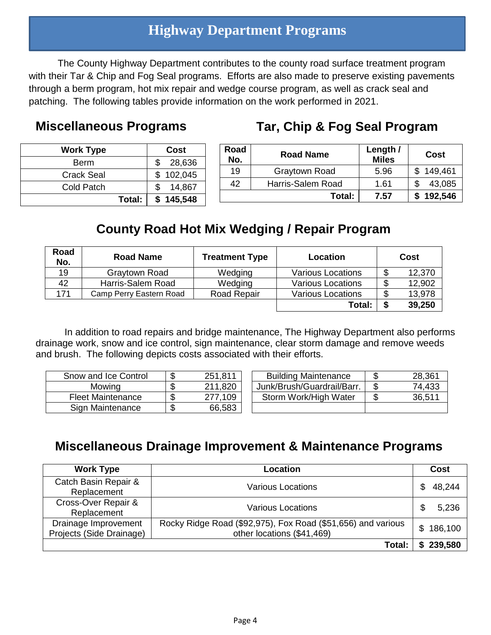### **Highway Department Programs**

The County Highway Department contributes to the county road surface treatment program with their Tar & Chip and Fog Seal programs. Efforts are also made to preserve existing pavements through a berm program, hot mix repair and wedge course program, as well as crack seal and patching. The following tables provide information on the work performed in 2021.

#### **Miscellaneous Programs**

### **Tar, Chip & Fog Seal Program**

| <b>Work Type</b>  | Cost          |
|-------------------|---------------|
| Berm              | \$28,636      |
| <b>Crack Seal</b> | \$102,045     |
| Cold Patch        | 14,867<br>\$. |
| Total:            | \$145,548     |

| Road<br>No. | <b>Road Name</b>  | Length /<br><b>Miles</b> | Cost      |
|-------------|-------------------|--------------------------|-----------|
| 19          | Graytown Road     | 5.96                     | \$149,461 |
| 42          | Harris-Salem Road | 1.61                     | 43,085    |
|             | Total:            | 7.57                     | 192,546   |

### **County Road Hot Mix Wedging / Repair Program**

| Road<br>No. | <b>Road Name</b>        | <b>Treatment Type</b> | Location                 |    | Cost   |
|-------------|-------------------------|-----------------------|--------------------------|----|--------|
| 19          | Graytown Road           | Wedging               | <b>Various Locations</b> | \$ | 12,370 |
| 42          | Harris-Salem Road       | Wedging               | <b>Various Locations</b> | S  | 12,902 |
| 171         | Camp Perry Eastern Road | Road Repair           | <b>Various Locations</b> | \$ | 13,978 |
|             |                         |                       | Total:                   |    | 39,250 |

In addition to road repairs and bridge maintenance, The Highway Department also performs drainage work, snow and ice control, sign maintenance, clear storm damage and remove weeds and brush. The following depicts costs associated with their efforts.

| Snow and Ice Control     | 251,811 | <b>Building Maintenance</b> | 28,361 |
|--------------------------|---------|-----------------------------|--------|
| Mowing                   | 211,820 | Junk/Brush/Guardrail/Barr.  | 74,433 |
| <b>Fleet Maintenance</b> | 277,109 | Storm Work/High Water       | 36,511 |
| Sign Maintenance         | 66,583  |                             |        |

### **Miscellaneous Drainage Improvement & Maintenance Programs**

| <b>Work Type</b>         | Location                                                     | Cost          |
|--------------------------|--------------------------------------------------------------|---------------|
| Catch Basin Repair &     | <b>Various Locations</b>                                     | 48,244        |
| Replacement              |                                                              |               |
| Cross-Over Repair &      | <b>Various Locations</b>                                     | 5,236<br>S    |
| Replacement              |                                                              |               |
| Drainage Improvement     | Rocky Ridge Road (\$92,975), Fox Road (\$51,656) and various | 186,100<br>\$ |
| Projects (Side Drainage) | other locations (\$41,469)                                   |               |
|                          | Total:                                                       | 239,580       |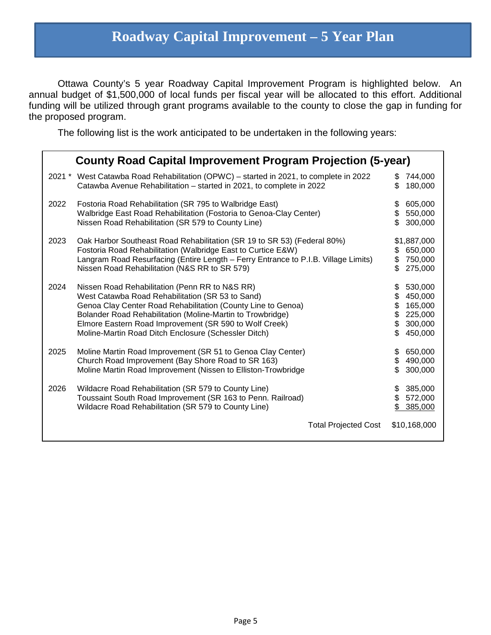### **Roadway Capital Improvement – 5 Year Plan**

Ottawa County's 5 year Roadway Capital Improvement Program is highlighted below. An annual budget of \$1,500,000 of local funds per fiscal year will be allocated to this effort. Additional funding will be utilized through grant programs available to the county to close the gap in funding for the proposed program.

The following list is the work anticipated to be undertaken in the following years:

|      | <b>County Road Capital Improvement Program Projection (5-year)</b>                                                                                                                                                                                                                                                                                 |                                                                                                     |  |  |  |  |  |
|------|----------------------------------------------------------------------------------------------------------------------------------------------------------------------------------------------------------------------------------------------------------------------------------------------------------------------------------------------------|-----------------------------------------------------------------------------------------------------|--|--|--|--|--|
|      | 2021 * West Catawba Road Rehabilitation (OPWC) – started in 2021, to complete in 2022<br>Catawba Avenue Rehabilitation - started in 2021, to complete in 2022                                                                                                                                                                                      | 744,000<br>S.<br>180,000<br>\$.                                                                     |  |  |  |  |  |
| 2022 | Fostoria Road Rehabilitation (SR 795 to Walbridge East)<br>Walbridge East Road Rehabilitation (Fostoria to Genoa-Clay Center)<br>Nissen Road Rehabilitation (SR 579 to County Line)                                                                                                                                                                | 605,000<br>S<br>550,000<br>\$<br>300,000                                                            |  |  |  |  |  |
| 2023 | Oak Harbor Southeast Road Rehabilitation (SR 19 to SR 53) (Federal 80%)<br>Fostoria Road Rehabilitation (Walbridge East to Curtice E&W)<br>Langram Road Resurfacing (Entire Length - Ferry Entrance to P.I.B. Village Limits)<br>Nissen Road Rehabilitation (N&S RR to SR 579)                                                                     | \$1,887,000<br>650,000<br>S<br>\$<br>750,000<br>275,000<br>\$.                                      |  |  |  |  |  |
| 2024 | Nissen Road Rehabilitation (Penn RR to N&S RR)<br>West Catawba Road Rehabilitation (SR 53 to Sand)<br>Genoa Clay Center Road Rehabilitation (County Line to Genoa)<br>Bolander Road Rehabilitation (Moline-Martin to Trowbridge)<br>Elmore Eastern Road Improvement (SR 590 to Wolf Creek)<br>Moline-Martin Road Ditch Enclosure (Schessler Ditch) | 530,000<br>\$<br>450,000<br>\$<br>\$<br>165,000<br>\$<br>225,000<br>\$<br>300,000<br>450,000<br>\$. |  |  |  |  |  |
| 2025 | Moline Martin Road Improvement (SR 51 to Genoa Clay Center)<br>Church Road Improvement (Bay Shore Road to SR 163)<br>Moline Martin Road Improvement (Nissen to Elliston-Trowbridge                                                                                                                                                                 | 650,000<br>\$<br>490,000<br>\$<br>300,000<br>Я.                                                     |  |  |  |  |  |
| 2026 | Wildacre Road Rehabilitation (SR 579 to County Line)<br>Toussaint South Road Improvement (SR 163 to Penn. Railroad)<br>Wildacre Road Rehabilitation (SR 579 to County Line)                                                                                                                                                                        | 385,000<br>\$.<br>572,000<br>\$.<br>385,000                                                         |  |  |  |  |  |
|      | <b>Total Projected Cost</b>                                                                                                                                                                                                                                                                                                                        | \$10,168,000                                                                                        |  |  |  |  |  |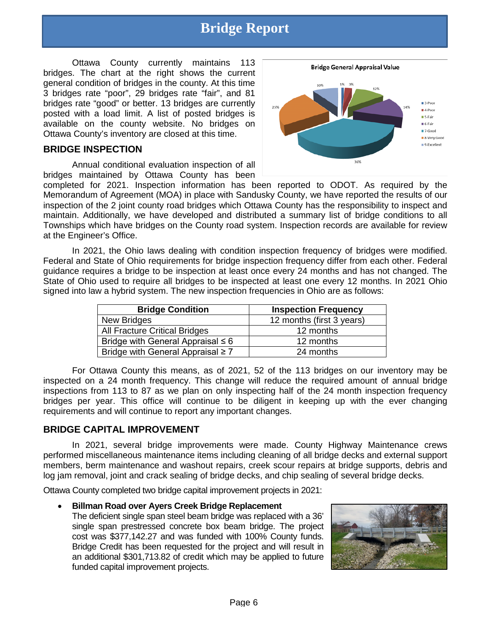# **Bridge Report**

Ottawa County currently maintains 113 bridges. The chart at the right shows the current general condition of bridges in the county. At this time 3 bridges rate "poor", 29 bridges rate "fair", and 81 bridges rate "good" or better. 13 bridges are currently posted with a load limit. A list of posted bridges is available on the county website. No bridges on Ottawa County's inventory are closed at this time.

#### **BRIDGE INSPECTION**

Annual conditional evaluation inspection of all bridges maintained by Ottawa County has been



completed for 2021. Inspection information has been reported to ODOT. As required by the Memorandum of Agreement (MOA) in place with Sandusky County, we have reported the results of our inspection of the 2 joint county road bridges which Ottawa County has the responsibility to inspect and maintain. Additionally, we have developed and distributed a summary list of bridge conditions to all Townships which have bridges on the County road system. Inspection records are available for review at the Engineer's Office.

In 2021, the Ohio laws dealing with condition inspection frequency of bridges were modified. Federal and State of Ohio requirements for bridge inspection frequency differ from each other. Federal guidance requires a bridge to be inspection at least once every 24 months and has not changed. The State of Ohio used to require all bridges to be inspected at least one every 12 months. In 2021 Ohio signed into law a hybrid system. The new inspection frequencies in Ohio are as follows:

| <b>Bridge Condition</b>                | <b>Inspection Frequency</b> |
|----------------------------------------|-----------------------------|
| New Bridges                            | 12 months (first 3 years)   |
| <b>All Fracture Critical Bridges</b>   | 12 months                   |
| Bridge with General Appraisal $\leq 6$ | 12 months                   |
| Bridge with General Appraisal $\geq 7$ | 24 months                   |

For Ottawa County this means, as of 2021, 52 of the 113 bridges on our inventory may be inspected on a 24 month frequency. This change will reduce the required amount of annual bridge inspections from 113 to 87 as we plan on only inspecting half of the 24 month inspection frequency bridges per year. This office will continue to be diligent in keeping up with the ever changing requirements and will continue to report any important changes.

#### **BRIDGE CAPITAL IMPROVEMENT**

In 2021, several bridge improvements were made. County Highway Maintenance crews performed miscellaneous maintenance items including cleaning of all bridge decks and external support members, berm maintenance and washout repairs, creek scour repairs at bridge supports, debris and log jam removal, joint and crack sealing of bridge decks, and chip sealing of several bridge decks.

Ottawa County completed two bridge capital improvement projects in 2021:

#### • **Billman Road over Ayers Creek Bridge Replacement**

The deficient single span steel beam bridge was replaced with a 36' single span prestressed concrete box beam bridge. The project cost was \$377,142.27 and was funded with 100% County funds. Bridge Credit has been requested for the project and will result in an additional \$301,713.82 of credit which may be applied to future funded capital improvement projects.

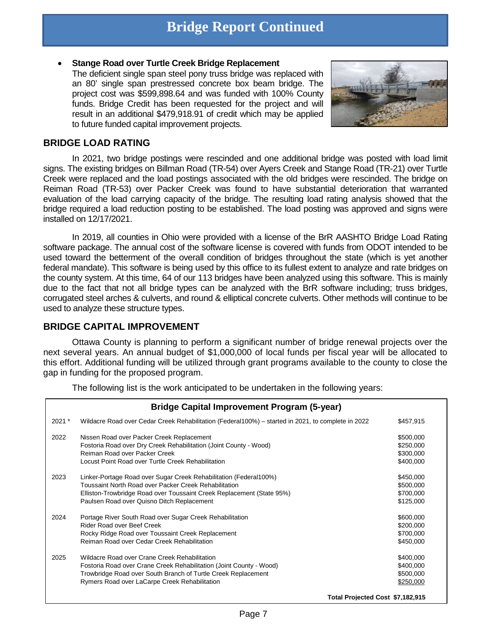### **Bridge Report Continued**

#### • **Stange Road over Turtle Creek Bridge Replacement**

The deficient single span steel pony truss bridge was replaced with an 80' single span prestressed concrete box beam bridge. The project cost was \$599,898.64 and was funded with 100% County funds. Bridge Credit has been requested for the project and will result in an additional \$479,918.91 of credit which may be applied to future funded capital improvement projects.



#### **BRIDGE LOAD RATING**

In 2021, two bridge postings were rescinded and one additional bridge was posted with load limit signs. The existing bridges on Billman Road (TR-54) over Ayers Creek and Stange Road (TR-21) over Turtle Creek were replaced and the load postings associated with the old bridges were rescinded. The bridge on Reiman Road (TR-53) over Packer Creek was found to have substantial deterioration that warranted evaluation of the load carrying capacity of the bridge. The resulting load rating analysis showed that the bridge required a load reduction posting to be established. The load posting was approved and signs were installed on 12/17/2021.

In 2019, all counties in Ohio were provided with a license of the BrR AASHTO Bridge Load Rating software package. The annual cost of the software license is covered with funds from ODOT intended to be used toward the betterment of the overall condition of bridges throughout the state (which is yet another federal mandate). This software is being used by this office to its fullest extent to analyze and rate bridges on the county system. At this time, 64 of our 113 bridges have been analyzed using this software. This is mainly due to the fact that not all bridge types can be analyzed with the BrR software including; truss bridges, corrugated steel arches & culverts, and round & elliptical concrete culverts. Other methods will continue to be used to analyze these structure types.

#### **BRIDGE CAPITAL IMPROVEMENT**

Ottawa County is planning to perform a significant number of bridge renewal projects over the next several years. An annual budget of \$1,000,000 of local funds per fiscal year will be allocated to this effort. Additional funding will be utilized through grant programs available to the county to close the gap in funding for the proposed program.

The following list is the work anticipated to be undertaken in the following years:

|        | <b>Bridge Capital Improvement Program (5-year)</b>                                                  |                                  |
|--------|-----------------------------------------------------------------------------------------------------|----------------------------------|
| 2021 * | Wildacre Road over Cedar Creek Rehabilitation (Federal 100%) – started in 2021, to complete in 2022 | \$457,915                        |
| 2022   | Nissen Road over Packer Creek Replacement                                                           | \$500,000                        |
|        | Fostoria Road over Dry Creek Rehabilitation (Joint County - Wood)                                   | \$250,000                        |
|        | Reiman Road over Packer Creek                                                                       | \$300,000                        |
|        | Locust Point Road over Turtle Creek Rehabilitation                                                  | \$400,000                        |
| 2023   | Linker-Portage Road over Sugar Creek Rehabilitation (Federal 100%)                                  | \$450,000                        |
|        | Toussaint North Road over Packer Creek Rehabilitation                                               | \$500,000                        |
|        | Elliston-Trowbridge Road over Toussaint Creek Replacement (State 95%)                               | \$700,000                        |
|        | Paulsen Road over Quisno Ditch Replacement                                                          | \$125,000                        |
| 2024   | Portage River South Road over Sugar Creek Rehabilitation                                            | \$600,000                        |
|        | Rider Road over Beef Creek                                                                          | \$200,000                        |
|        | Rocky Ridge Road over Toussaint Creek Replacement                                                   | \$700,000                        |
|        | Reiman Road over Cedar Creek Rehabilitation                                                         | \$450,000                        |
| 2025   | Wildacre Road over Crane Creek Rehabilitation                                                       | \$400,000                        |
|        | Fostoria Road over Crane Creek Rehabilitation (Joint County - Wood)                                 | \$400,000                        |
|        | Trowbridge Road over South Branch of Turtle Creek Replacement                                       | \$500,000                        |
|        | Rymers Road over LaCarpe Creek Rehabilitation                                                       | \$250,000                        |
|        |                                                                                                     | Total Projected Cost \$7,182,915 |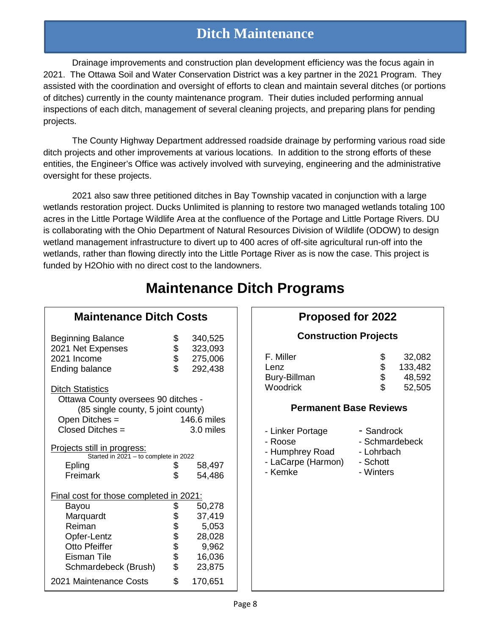### **Ditch Maintenance**

Drainage improvements and construction plan development efficiency was the focus again in 2021. The Ottawa Soil and Water Conservation District was a key partner in the 2021 Program. They assisted with the coordination and oversight of efforts to clean and maintain several ditches (or portions of ditches) currently in the county maintenance program. Their duties included performing annual inspections of each ditch, management of several cleaning projects, and preparing plans for pending projects.

The County Highway Department addressed roadside drainage by performing various road side ditch projects and other improvements at various locations. In addition to the strong efforts of these entities, the Engineer's Office was actively involved with surveying, engineering and the administrative oversight for these projects.

2021 also saw three petitioned ditches in Bay Township vacated in conjunction with a large wetlands restoration project. Ducks Unlimited is planning to restore two managed wetlands totaling 100 acres in the Little Portage Wildlife Area at the confluence of the Portage and Little Portage Rivers. DU is collaborating with the Ohio Department of Natural Resources Division of Wildlife (ODOW) to design wetland management infrastructure to divert up to 400 acres of off-site agricultural run-off into the wetlands, rather than flowing directly into the Little Portage River as is now the case. This project is funded by H2Ohio with no direct cost to the landowners.

| <b>Maintenance Ditch Costs</b>                                                                                                             |                |                                          |
|--------------------------------------------------------------------------------------------------------------------------------------------|----------------|------------------------------------------|
| <b>Beginning Balance</b><br>2021 Net Expenses<br>2021 Income<br><b>Ending balance</b>                                                      | \$<br>\$<br>\$ | 340,525<br>323,093<br>275,006<br>292,438 |
| <b>Ditch Statistics</b><br>Ottawa County oversees 90 ditches -<br>(85 single county, 5 joint county)<br>Open Ditches =<br>Closed Ditches = |                | 146.6 miles<br>3.0 miles                 |
| Projects still in progress:<br>Started in 2021 - to complete in 2022                                                                       |                |                                          |
| Epling                                                                                                                                     | \$             | 58,497                                   |
| Freimark                                                                                                                                   | \$             | 54,486                                   |
| <u>Final cost for those completed in 2021:</u>                                                                                             |                |                                          |
| Bayou                                                                                                                                      | \$             | 50,278                                   |
| Marquardt                                                                                                                                  | \$<br>\$       | 37,419                                   |
| Reiman                                                                                                                                     |                | 5,053                                    |
| Opfer-Lentz                                                                                                                                | \$             | 28,028                                   |
| <b>Otto Pfeiffer</b>                                                                                                                       | \$             | 9,962                                    |
| Eisman Tile                                                                                                                                |                | 16,036                                   |
| Schmardebeck (Brush)                                                                                                                       | \$             | 23,875                                   |
| 2021 Maintenance Costs                                                                                                                     | \$             | 170,651                                  |

# **Maintenance Ditch Programs**

#### **Proposed for 2022**

#### **Construction Projects**

| F. Miller    | \$. | 32,082  |
|--------------|-----|---------|
| Lenz         | \$. | 133,482 |
| Bury-Billman | \$. | 48,592  |
| Woodrick     | \$. | 52,505  |

#### **Permanent Base Reviews**

- Linker Portage **- Sandrock** 

- Roose  **Schmardebeck**
- Humphrey Road Lohrbach
- LaCarpe (Harmon) Schott<br>- Kemke Vinters
	- Winters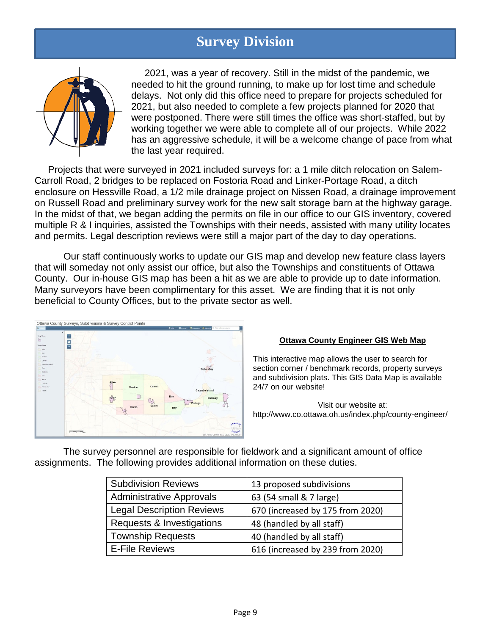### **Survey Division**



 2021, was a year of recovery. Still in the midst of the pandemic, we needed to hit the ground running, to make up for lost time and schedule delays. Not only did this office need to prepare for projects scheduled for 2021, but also needed to complete a few projects planned for 2020 that were postponed. There were still times the office was short-staffed, but by working together we were able to complete all of our projects. While 2022 has an aggressive schedule, it will be a welcome change of pace from what the last year required.

 Projects that were surveyed in 2021 included surveys for: a 1 mile ditch relocation on Salem-Carroll Road, 2 bridges to be replaced on Fostoria Road and Linker-Portage Road, a ditch enclosure on Hessville Road, a 1/2 mile drainage project on Nissen Road, a drainage improvement on Russell Road and preliminary survey work for the new salt storage barn at the highway garage. In the midst of that, we began adding the permits on file in our office to our GIS inventory, covered multiple R & I inquiries, assisted the Townships with their needs, assisted with many utility locates and permits. Legal description reviews were still a major part of the day to day operations.

Our staff continuously works to update our GIS map and develop new feature class layers that will someday not only assist our office, but also the Townships and constituents of Ottawa County. Our in-house GIS map has been a hit as we are able to provide up to date information. Many surveyors have been complimentary for this asset. We are finding that it is not only beneficial to County Offices, but to the private sector as well.

|                                                       |                                                                              |       |               |                   |      | One . Blows Hammer Chang Q Intermediate |       |
|-------------------------------------------------------|------------------------------------------------------------------------------|-------|---------------|-------------------|------|-----------------------------------------|-------|
| Corp Lines<br>Tywnships<br>Allen<br>Bay<br>Beeton     | $\boldsymbol{\times}$<br>$\ddot{}$<br>A<br><b>Harley</b><br><b>Telesting</b> |       |               |                   |      |                                         | tulus |
| Cerrell<br>Catavisa Island<br>Clay<br>Daebury<br>Erie | <b>STATE</b>                                                                 |       |               |                   |      | Put-In-Bay                              |       |
| survice<br>Perkaps<br>Public-Bay<br>Salem             | .<br>٠                                                                       | Allen | Benton<br>u   | Carroll           | Erie | Catawba Island<br>Danbury               |       |
|                                                       |                                                                              |       | <b>Harris</b> | U<br><b>Salem</b> | Bay  | Portage                                 |       |

#### **Ottawa County Engineer GIS Web Map**

This interactive map allows the user to search for section corner / benchmark records, property surveys and subdivision plats. This GIS Data Map is available 24/7 on our website!

Visit our website at: http://www.co.ottawa.oh.us/index.php/county-engineer/

The survey personnel are responsible for fieldwork and a significant amount of office assignments. The following provides additional information on these duties.

| <b>Subdivision Reviews</b>       | 13 proposed subdivisions         |
|----------------------------------|----------------------------------|
| <b>Administrative Approvals</b>  | 63 (54 small & 7 large)          |
| <b>Legal Description Reviews</b> | 670 (increased by 175 from 2020) |
| Requests & Investigations        | 48 (handled by all staff)        |
| <b>Township Requests</b>         | 40 (handled by all staff)        |
| <b>E-File Reviews</b>            | 616 (increased by 239 from 2020) |